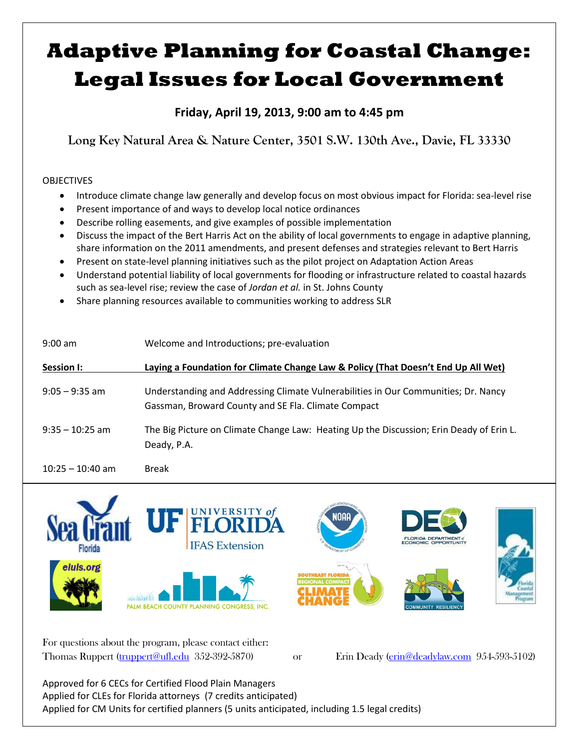## **Adaptive Planning for Coastal Change: Legal Issues for Local Government**

**Friday, April 19, 2013, 9:00 am to 4:45 pm**

**Long Key Natural Area & Nature Center, 3501 S.W. 130th Ave., Davie, FL 33330**

## OBJECTIVES

- Introduce climate change law generally and develop focus on most obvious impact for Florida: sea-level rise
- Present importance of and ways to develop local notice ordinances
- Describe rolling easements, and give examples of possible implementation
- Discuss the impact of the Bert Harris Act on the ability of local governments to engage in adaptive planning, share information on the 2011 amendments, and present defenses and strategies relevant to Bert Harris
- Present on state-level planning initiatives such as the pilot project on Adaptation Action Areas
- Understand potential liability of local governments for flooding or infrastructure related to coastal hazards such as sea-level rise; review the case of *Jordan et al.* in St. Johns County
- Share planning resources available to communities working to address SLR

| $9:00$ am          | Welcome and Introductions; pre-evaluation                                                                                                 |
|--------------------|-------------------------------------------------------------------------------------------------------------------------------------------|
| Session I:         | Laying a Foundation for Climate Change Law & Policy (That Doesn't End Up All Wet)                                                         |
| $9:05 - 9:35$ am   | Understanding and Addressing Climate Vulnerabilities in Our Communities; Dr. Nancy<br>Gassman, Broward County and SE Fla. Climate Compact |
| $9:35 - 10:25$ am  | The Big Picture on Climate Change Law: Heating Up the Discussion; Erin Deady of Erin L.<br>Deady, P.A.                                    |
| $10:25 - 10:40$ am | <b>Break</b>                                                                                                                              |



For questions about the program, please contact either: Thomas Ruppert (truppert@ufl.edu 352-392-5870) or Erin Deady (erin@deadylaw.com 954-593-5102)

Approved for 6 CECs for Certified Flood Plain Managers Applied for CLEs for Florida attorneys (7 credits anticipated) Applied for CM Units for certified planners (5 units anticipated, including 1.5 legal credits)